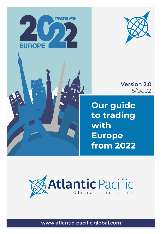



## **Version 2.0**  15/Oct/21

**Our guide to trading with Europe from 2022**

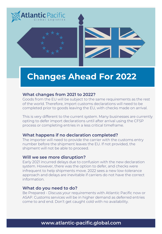

## **Changes Ahead For 2022**

### **What changes from 2021 to 2022?**

Goods from the EU will be subject to the same requirements as the rest of the world. Therefore, import customs declarations will need to be completed prior to goods leaving the EU, with checks made on arrival.

This is very different to the current system. Many businesses are currently opting to defer import declarations until after arrival using the CFSP process or completing entries in a less critical timeframe.

### **What happens if no declaration completed?**

The importer will need to provide the carrier with the customs entry number before the shipment leaves the EU. If not provided, the shipment will not be able to proceed.

### **Will we see more disruption?**

Early 2021 incurred delays due to confusion with the new declaration system. However, there was the option to defer, and checks were infrequent to help shipments move. 2022 sees a new low-tolerance approach and delays are inevitable if carriers do not have the correct information.

### **What do you need to do?**

Be Prepared - Discuss your requirements with Atlantic Pacific now or ASAP. Customs services will be in higher demand as deferred entries come to and end. Don't get caught cold with no availability.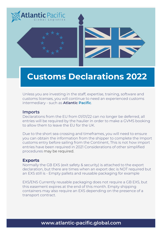

## **Customs Declarations 2022**

Unless you are investing in the staff, expertise, training, software and customs licenses, you will continue to need an experienced customs intermediary - such as **Atlantic Pacific**.

### **Imports**

Declarations from the EU from 01/01/22 can no longer be deferred, all entries will be required by the haulier in order to make a GVMS booking to allow them to leave the EU for the UK.

Due to the short sea crossing and timeframes, you will need to ensure you can obtain the information from the shipper to complete the Import customs entry before sailing from the Continent, This is not how import entries have been required in 2021 Considerations of other simplified procedures may be required.

### **Exports**

Normally the GB EXS (exit safety & security) is attached to the export declaration, but there are times when an export dec is NOT required but an EXS still is - Empty pallets and reusable packaging for example

EXS/ENS Currently reusable packaging does not require a GB EXS, but this easement expires at the end of this month. Empty shipping containers may also require an EXS depending on the presence of a transport contract.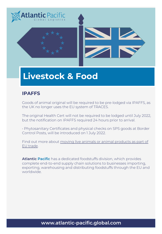

## **Livestock & Food**

### **IPAFFS**

Goods of animal original will be required to be pre-lodged via IPAFFS, as the UK no longer uses the EU system of TRACES.

The original Health Cert will not be required to be lodged until July 2022, but the notification on IPAFFS required 24 hours prior to arrival.

• Phytosanitary Certificates and physical checks on SPS goods at Border Control Posts, will be introduced on 1 July 2022.

Find out more about [moving live animals or animal products as part of](https://www.gov.uk/government/collections/guidance-on-importing-and-exporting-live-animals-or-animal-products)  EU trade.

**Atlantic Pacific** has a dedicated foodstuffs division, which provides complete end-to-end supply chain solutions to businesses importing, exporting, warehousing and distributing foodstuffs through the EU and worldwide.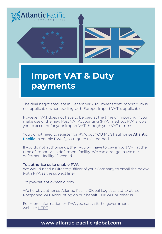

## **Import VAT & Duty payments**

The deal negotiated late in December 2020 means that import duty is not applicable when trading with Europe. Import VAT is applicable.

However, VAT does not have to be paid at the time of importing if you make use of the new Post VAT Accounting (PVA) method. PVA allows you to account for your import VAT through your VAT returns.

You do not need to register for PVA, but YOU MUST authorise **Atlantic Pacific** to enable PVA if you require this method.

If you do not authorise us, then you will have to pay import VAT at the time of import via a deferment facility. We can arrange to use our deferment facility if needed.

#### **To authorise us to enable PVA:**

We would need a Director/Officer of your Company to email the below (with PVA as the subject line):

To: pva@atlantic-pacific.com

We hereby authorise Atlantic Pacific Global Logistics Ltd to utilise Postponed VAT Accounting on our behalf. Our VAT number is:

For mor[e infor](https://www.gov.uk/guidance/check-when-you-can-account-for-import-vat-on-your-vat-return)mation on PVA you can visit the government website HERE.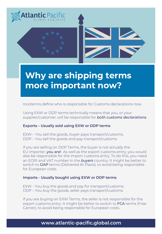

# **Why are shipping terms more important now?**

Incoterms define who is responsible for Customs declarations now.

Using EXW or DDP terms technically means that you, or your supplier/customer, will be responsible for *both customs declarations*.

### **Exports – Usually sold using EXW or DDP terms**

EXW – You sell the goods, buyer pays transport/customs. DDP – You sell the goods and pay transport/customs

If you are selling on DDP Terms, the buyer is not actually the EU importer, you are! As well as the export customs entry, you would also be responsible for the import customs entry. To do this, you need an EORI and VAT number in the *buyers* country. It might be better to switch to DAP terms (Delivered At Place), to avoid being responsible for European costs.

### **Imports - Usually bought using EXW or DDP terms**

EXW - You buy the goods and pay for transport/customs. DDP – You buy the goods, seller pays transport/customs.

If you are buying on EXW Terms, the seller is not responsible for the export customs entry. It might be better to switch to **FCA** terms (Free Carrier), to avoid being responsible for European costs.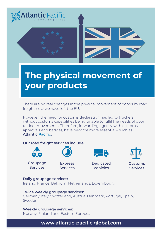

# **The physical movement of your products**

There are no real changes in the physical movement of goods by road freight now we have left the EU.

However, the need for customs declaration has led to truckers without customs capabilities being unable to fulfil the needs of door to door movements. Therefore, forwarding agents, with customs approvals and badges, have become more essential – such as **Atlantic Pacific.** 

### **Our road freight services include:**



Groupage **Services** 



**Express Services** 



**Dedicated** Vehicles



### **Daily groupage services:**

Ireland, France, Belgium, Netherlands, Luxembourg

**Twice weekly groupage services:** Germany, Italy, Switzerland, Austria, Denmark, Portugal, Spain, Sweden

### **Weekly groupage services:**

Norway, Finland and Eastern Europe..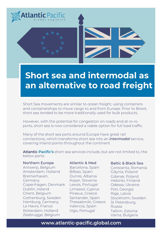

# **Short sea and intermodal as an alternative to road freight**

Short Sea movements are similar to ocean freight, using containers and containerships to move cargo to and from Europe. Prior to Brexit, short sea tended to be more traditionally used for bulk products.

However, with the potential for congestion on roads and at ro-ro ports, short sea is now considered a viable option for full load traffic.

Many of the short sea ports around Europe have great rail connections, which transforms short sea into an *intermodal* service, covering inland points throughout the continent.

**Atlantic Pacific's** short sea services include, but are not limited to, the below ports:

#### Northern Europe

Antwerp, Belgium Amsterdam, Holland Bremerhaven, Germany Copenhagen, Denmark Dublin, Ireland Ghent, Belgium Gothenburg, Sweden Hamburg, Germany Le Havre, France Rotterdam, Holland Zeebrugge, Belgium

#### Atlantic & Med

Barcelona, Spain Bilbao, Spain Durres, Albania Koper, Slovenia Lexois, Portugal Limassol, Cyprus Piraeus, Greece Santander, Spain Thessaloniki, Greece Valencia, Spain Vigo, Portugal

#### Baltic & Black Sea

Constanta, Romania Gdynia, Poland Gdansk, Poland Helsinki, Finland Odessa, Ukraine Poti, Georgia Riga, Latvia Stockholm, Sweden St Petersburg, Russia Tallinn, Estonia Varna, Bulgaria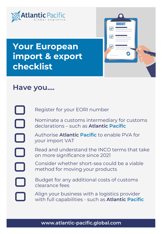



# **Your European import & export checklist**

## **Have you….**